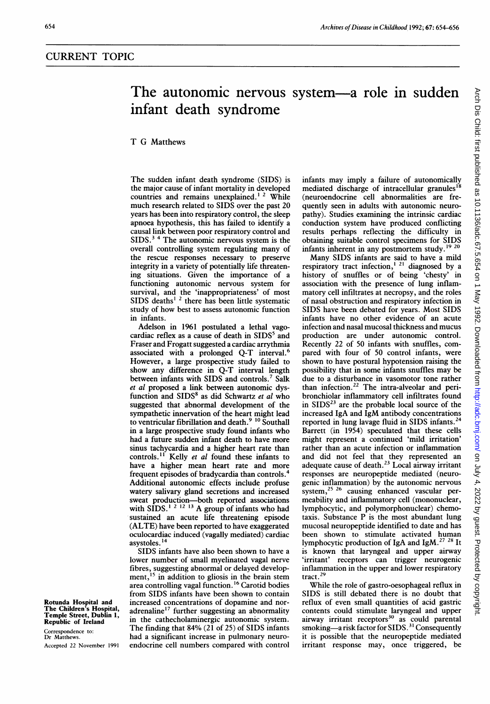## The autonomic nervous system-a role in sudden infant death syndrome

## T G Matthews

The sudden infant death syndrome (SIDS) is the major cause of infant mortality in developed countries and remains unexplained.<sup>1</sup><sup>2</sup> While much research related to SIDS over the past 20 years has been into respiratory control, the sleep apnoea hypothesis, this has failed to identify a causal link between poor respiratory control and  $SIDS.^3$ <sup>4</sup> The autonomic nervous system is the overall controlling system regulating many of the rescue responses necessary to preserve integrity in a variety of potentially life threatening situations. Given the importance of a functioning autonomic nervous system for survival, and the 'inappropriateness' of most SIDS deaths<sup>12</sup> there has been little systematic study of how best to assess autonomic function in infants.

Adelson in 1961 postulated a lethal vagocardiac reflex as a cause of death in  $SIDS<sup>5</sup>$  and Fraser and Frogatt suggested a cardiac arrythmia associated with a prolonged Q-T interval.6 However, a large prospective study failed to show any difference in Q-T interval length between infants with SIDS and controls.<sup>7</sup> Salk et al proposed a link between autonomic dysfunction and SIDS<sup>8</sup> as did Schwartz et al who suggested that abnormal development of the sympathetic innervation of the heart might lead to ventricular fibrillation and death.<sup>9</sup> <sup>10</sup> Southall in a large prospective study found infants who had a future sudden infant death to have more sinus tachycardia and a higher heart rate than controls.<sup>11</sup> Kelly et al found these infants to have a higher mean heart rate and more frequent episodes of bradycardia than controls.4 Additional autonomic effects include profuse watery salivary gland secretions and increased sweat production-both reported associations with SIDS.<sup>1 2 12</sup> <sup>13</sup> A group of infants who had sustained an acute life threatening episode (ALTE) have been reported to have exaggerated oculocardiac induced (vagally mediated) cardiac asystoles. 14

SIDS infants have also been shown to have <sup>a</sup> lower number of small myelinated vagal nerve fibres, suggesting abnormal or delayed development, $15$  in addition to gliosis in the brain stem area controlling vagal function. <sup>16</sup> Carotid bodies from SIDS infants have been shown to contain Rotunda Hospital and increased concentrations of dopamine and nor-<br>The Children's Hospital, adrenaline<sup>17</sup> further suggesting an abnormality The Children's Hospital, adrenaline<sup>17</sup> further suggesting an abnormality<br>Temple Street, Dublin 1, in the sethach also integrate autonomic autom Republic of Ireland in the cathecholaminergic autonomic system. Exercise of Evenius<br>Correspondence to: The finding that 84% (21 of 25) of SIDS infants<br>Dr Matthews. had a significant increase in pulmonary neurohad a significant increase in pulmonary neuro-Accepted <sup>22</sup> November <sup>1991</sup> endocrine cell numbers compared with control infants may imply a failure of autonomically mediated discharge of intracellular granules<sup>18</sup> (neuroendocrine cell abnormalities are frequently seen in adults with autonomic neuropathy). Studies examining the intrinsic cardiac conduction system have produced conflicting results perhaps reflecting the difficulty in obtaining suitable control specimens for SIDS infants inherent in any postmortem study.'9 <sup>20</sup>

Many SIDS infants are said to have <sup>a</sup> mild respiratory tract infection,<sup> $121$ </sup> diagnosed by a history of snuffles or of being 'chesty' in association with the presence of lung inflammatory cell infiltrates at necropsy, and the roles of nasal obstruction and respiratory infection in SIDS have been debated for years. Most SIDS infants have no other evidence of an acute infection and nasal mucosal thickness and mucus production are under autonomic control. Recently 22 of 50 infants with snuffles, compared with four of 50 control infants, were shown to have postural hypotension raising the possibility that in some infants snuffles may be due to a disturbance in vasomotor tone rather than infection.<sup>22</sup> The intra-alveolar and peribronchiolar inflammatory cell infiltrates found in  $SIDS<sup>23</sup>$  are the probable local source of the increased IgA and IgM antibody concentrations reported in lung lavage fluid in SIDS infants.<sup>24</sup> Barrett (in 1954) speculated that these cells might represent a continued 'mild irritation' rather than an acute infection or inflammation and did not feel that they represented an adequate cause of death.23 Local airway irritant responses are neuropeptide mediated (neurogenic inflammation) by the autonomic nervous system,<sup>25 26</sup> causing enhanced vascular permeability and inflammatory cell (mononuclear, lymphocytic, and polymorphonuclear) chemotaxis. Substance P is the most abundant lung mucosal neuropeptide identified to date and has been shown to stimulate activated human lymphocytic production of IgA and IgM.27 <sup>28</sup> It is known that laryngeal and upper airway 'irritant' receptors can trigger neurogenic inflammation in the upper and lower respiratory tract.29

While the role of gastro-oesophageal reflux in SIDS is still debated there is no doubt that reflux of even small quantities of acid gastric contents could stimulate laryngeal and upper airway irritant receptors<sup>30</sup> as could parental smoking—a risk factor for SIDS.<sup>31</sup> Consequently it is possible that the neuropeptide mediated irritant response may, once triggered, be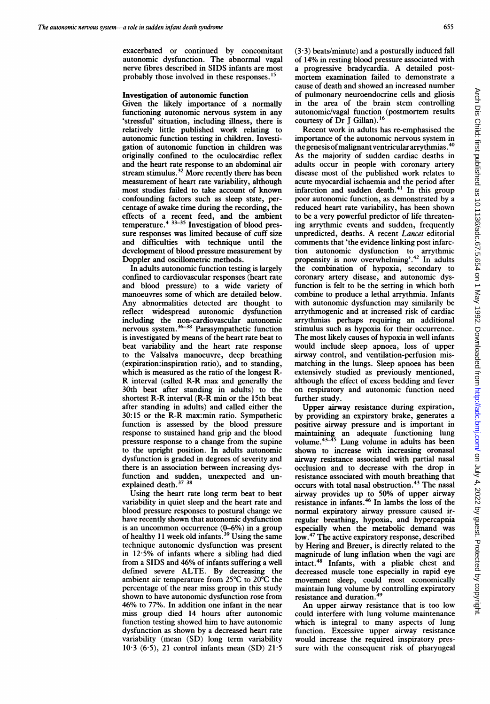exacerbated or continued by concomitant autonomic dysfunction. The abnormal vagal nerve fibres described in SIDS infants are most probably those involved in these responses."

## Investigation of autonomic function

Given the likely importance of a normally functioning autonomic nervous system in any 'stressful' situation, including illness, there is relatively little published work relating to autonomic function testing in children. Investigation of autonomic function in children was originally confined to the oculocardiac reflex and the heart rate response to an abdominal air stream stimulus.<sup>32</sup> More recently there has been measurement of heart rate variability, although most studies failed to take account of known confounding factors such as sleep state, percentage of awake time during the recording, the effects of a recent feed, and the ambient temperature.<sup>4</sup> <sup>33233</sup> Investigation of blood pressure responses was limited because of cuff size and difficulties with technique until the development of blood pressure measurement by Doppler and oscillometric methods.

In adults autonomic function testing is largely confined to cardiovascular responses (heart rate and blood pressure) to a wide variety of manoeuvres some of which are detailed below. Any abnormalities detected are thought to reflect widespread autonomic dysfunction including the non-cardiovascular autonomic nervous system.<sup>36–38</sup> Parasympathetic function is investigated by means of the heart rate beat to beat variability and the heart rate response to the Valsalva manoeuvre, deep breathing (expiration:inspiration ratio), and to standing, which is measured as the ratio of the longest R-R interval (called R-R max and generally the 30th beat after standing in adults) to the shortest R-R interval (R-R min or the 15th beat after standing in adults) and called either the 30:15 or the R-R max:min ratio. Sympathetic function is assessed by the blood pressure response to sustained hand grip and the blood pressure response to a change from the supine to the upright position. In adults autonomic dysfunction is graded in degrees of severity and there is an association between increasing dysfunction and sudden, unexpected and unexplained death. $37 \frac{38}{36}$ 

Using the heart rate long term beat to beat variability in quiet sleep and the heart rate and blood pressure responses to postural change we have recently shown that autonomic dysfunction is an uncommon occurrence  $(0-6%)$  in a group of healthy 11 week old infants.<sup>39</sup> Using the same technique autonomic dysfunction was present in 12-5% of infants where a sibling had died from <sup>a</sup> SIDS and 46% of infants suffering <sup>a</sup> well defined severe ALTE. By decreasing the ambient air temperature from 25°C to 20°C the percentage of the near miss group in this study shown to have autonomic dysfunction rose from 46% to 77%. In addition one infant in the near miss group died 14 hours after autonomic function testing showed him to have autonomic dysfunction as shown by a decreased heart rate variability (mean (SD) long term variability  $10.3$  (6.5), 21 control infants mean (SD)  $21.5$ 

 $(3.3)$  beats/minute) and a posturally induced fall of 14% in resting blood pressure associated with <sup>a</sup> progressive bradycardia. A detailed postmortem examination failed to demonstrate a cause of death and showed an increased number of pulmonary neuroendocrine cells and gliosis in the area of the brain stem controlling autonomic/vagal function (postmortem results courtesy of Dr J Gillan).<sup>16</sup>

Recent work in adults has re-emphasised the importance of the autonomic nervous system in the genesis of malignant ventricular arrythmias.  $40$ As the majority of sudden cardiac deaths in adults occur in people with coronary artery disease most of the published work relates to acute myocardial ischaemia and the period after infarction and sudden death.<sup>41</sup> In this group poor autonomic function, as demonstrated by a reduced heart rate variability, has been shown to be a very powerful predictor of life threatening arrythmic events and sudden, frequently unpredicted, deaths. A recent Lancet editorial comments that 'the evidence linking post infarction autonomic dysfunction to arrythmic propensity is now overwhelming'.<sup>42</sup> In adults the combination of hypoxia, secondary to coronary artery disease, and autonomic dysfunction is felt to be the setting in which both combine to produce a lethal arrythmia. Infants with autonomic dysfunction may similarily be arrythmogenic and at increased risk of cardiac arrythmias perhaps requiring an additional stimulus such as hypoxia for their occurrence. The most likely causes of hypoxia in well infants would include sleep apnoea, loss of upper airway control, and ventilation-perfusion mismatching in the lungs. Sleep apnoea has been extensively studied as previously mentioned, although the effect of excess bedding and fever on respiratory and autonomic function need further study.

Upper airway resistance during expiration, by providing an expiratory brake, generates a positive airway pressure and is important in maintaining an adequate functioning lung volume.<sup>43-43</sup> Lung volume in adults has been shown to increase with increasing oronasal airway resistance associated with partial nasal occlusion and to decrease with the drop in resistance associated with mouth breathing that occurs with total nasal obstruction.<sup>43</sup> The nasal airway provides up to 50% of upper airway resistance in infants.<sup> $\sim$ </sup> In lambs the loss of the normal expiratory airway pressure caused irregular breathing, hypoxia, and hypercapnia especially when the metabolic demand was low.47 The active expiratory response, described by Hering and Breuer, is directly related to the magnitude of lung inflation when the vagi are intact.<sup>48</sup> Infants, with a pliable chest and decreased muscle tone especially in rapid eye movement sleep, could most economically maintain lung volume by controlling expiratory resistance and duration.<sup>4</sup>

An upper airway resistance that is too low could interfere with lung volume maintenance which is integral to many aspects of lung function. Excessive upper airway resistance would increase the required inspiratory pressure with the consequent risk of pharyngeal